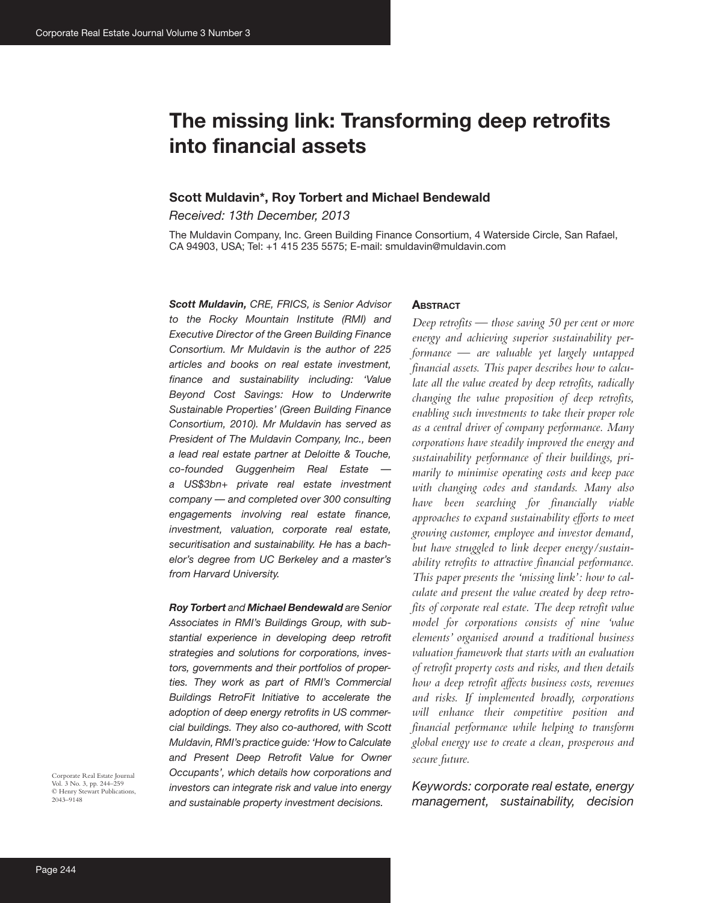# **The missing link: Transforming deep retrofits into financial assets**

### **Scott Muldavin\*, Roy Torbert and Michael Bendewald**

*Received: 13th December, 2013*

The Muldavin Company, Inc. Green Building Finance Consortium, 4 Waterside Circle, San Rafael, CA 94903, USA; Tel: +1 415 235 5575; E-mail: smuldavin@muldavin.com

*Scott Muldavin, CRE, FRICS, is Senior Advisor to the Rocky Mountain Institute (RMI) and Executive Director of the Green Building Finance Consortium. Mr Muldavin is the author of 225 articles and books on real estate investment, finance and sustainability including: 'Value Beyond Cost Savings: How to Underwrite Sustainable Properties' (Green Building Finance Consortium, 2010). Mr Muldavin has served as President of The Muldavin Company, Inc., been a lead real estate partner at Deloitte & Touche, co-founded Guggenheim Real Estate a US\$3bn+ private real estate investment company — and completed over 300 consulting engagements involving real estate finance, investment, valuation, corporate real estate, securitisation and sustainability. He has a bachelor's degree from UC Berkeley and a master's from Harvard University.*

*Roy Torbert and Michael Bendewald are Senior Associates in RMI's Buildings Group, with substantial experience in developing deep retrofit strategies and solutions for corporations, investors, governments and their portfolios of properties. They work as part of RMI's Commercial Buildings RetroFit Initiative to accelerate the adoption of deep energy retrofits in US commercial buildings. They also co-authored, with Scott Muldavin, RMI's practice guide: 'How to Calculate and Present Deep Retrofit Value for Owner Occupants', which details how corporations and investors can integrate risk and value into energy and sustainable property investment decisions.*

#### **ABSTRACT**

*Deep retrofits — those saving 50 per cent or more energy and achieving superior sustainability performance — are valuable yet largely untapped financial assets. This paper describes how to calculate all the value created by deep retrofits, radically changing the value proposition of deep retrofits, enabling such investments to take their proper role as a central driver of company performance. Many corporations have steadily improved the energy and sustainability performance of their buildings, primarily to minimise operating costs and keep pace with changing codes and standards. Many also have been searching for financially viable approaches to expand sustainability efforts to meet growing customer, employee and investor demand, but have struggled to link deeper energy/sustainability retrofits to attractive financial performance. This paper presents the 'missing link': how to calculate and present the value created by deep retrofits of corporate real estate. The deep retrofit value model for corporations consists of nine 'value elements' organised around a traditional business valuation framework that starts with an evaluation of retrofit property costs and risks, and then details how a deep retrofit affects business costs, revenues and risks. If implemented broadly, corporations will enhance their competitive position and financial performance while helping to transform global energy use to create a clean, prosperous and secure future.*

*Keywords: corporate real estate, energy management, sustainability, decision* 

Corporate Real Estate Journal Vol. 3 No. 3, pp. 244–259 © Henry Stewart Publications, 2043–9148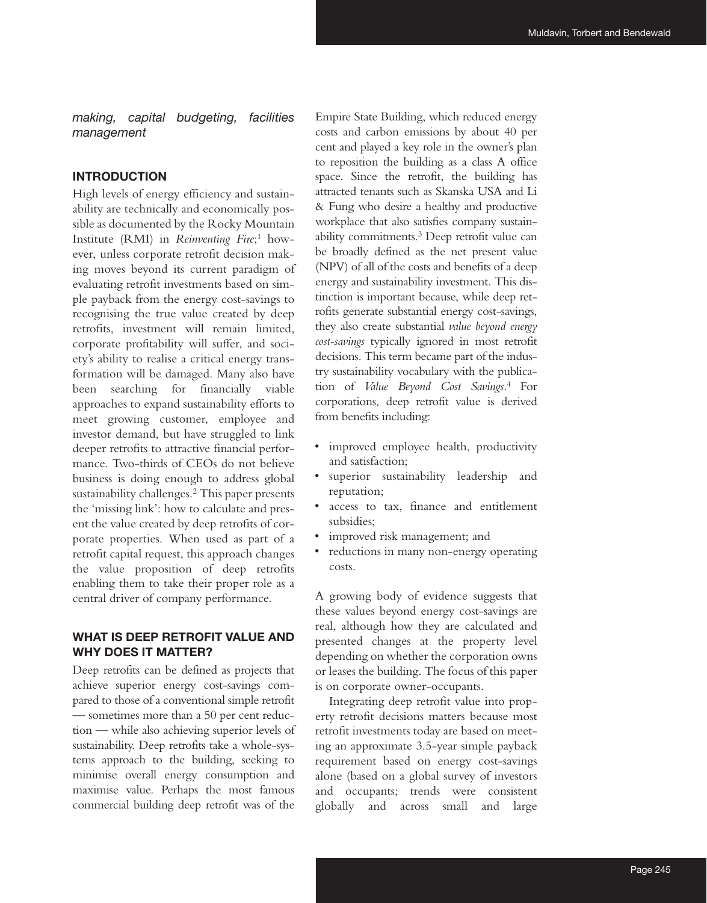*making, capital budgeting, facilities management*

## **INTRODUCTION**

High levels of energy efficiency and sustainability are technically and economically possible as documented by the Rocky Mountain Institute (RMI) in *Reinventing Fire*; 1 however, unless corporate retrofit decision making moves beyond its current paradigm of evaluating retrofit investments based on simple payback from the energy cost-savings to recognising the true value created by deep retrofits, investment will remain limited, corporate profitability will suffer, and society's ability to realise a critical energy transformation will be damaged. Many also have been searching for financially viable approaches to expand sustainability efforts to meet growing customer, employee and investor demand, but have struggled to link deeper retrofits to attractive financial performance. Two-thirds of CEOs do not believe business is doing enough to address global sustainability challenges.<sup>2</sup> This paper presents the 'missing link': how to calculate and present the value created by deep retrofits of corporate properties. When used as part of a retrofit capital request, this approach changes the value proposition of deep retrofits enabling them to take their proper role as a central driver of company performance.

# **WHAT IS DEEP RETROFIT VALUE AND WHY DOES IT MATTER?**

Deep retrofits can be defined as projects that achieve superior energy cost-savings compared to those of a conventional simple retrofit — sometimes more than a 50 per cent reduction — while also achieving superior levels of sustainability. Deep retrofits take a whole-systems approach to the building, seeking to minimise overall energy consumption and maximise value. Perhaps the most famous commercial building deep retrofit was of the

Empire State Building, which reduced energy costs and carbon emissions by about 40 per cent and played a key role in the owner's plan to reposition the building as a class A office space. Since the retrofit, the building has attracted tenants such as Skanska USA and Li & Fung who desire a healthy and productive workplace that also satisfies company sustainability commitments.3 Deep retrofit value can be broadly defined as the net present value (NPV) of all of the costs and benefits of a deep energy and sustainability investment. This distinction is important because, while deep retrofits generate substantial energy cost-savings, they also create substantial *value beyond energy cost-savings* typically ignored in most retrofit decisions. This term became part of the industry sustainability vocabulary with the publication of *Value Beyond Cost Savings*. 4 For corporations, deep retrofit value is derived from benefits including:

- improved employee health, productivity and satisfaction;
- superior sustainability leadership and reputation;
- access to tax, finance and entitlement subsidies;
- improved risk management; and
- reductions in many non-energy operating costs.

A growing body of evidence suggests that these values beyond energy cost-savings are real, although how they are calculated and presented changes at the property level depending on whether the corporation owns or leases the building. The focus of this paper is on corporate owner-occupants.

Integrating deep retrofit value into property retrofit decisions matters because most retrofit investments today are based on meeting an approximate 3.5-year simple payback requirement based on energy cost-savings alone (based on a global survey of investors and occupants; trends were consistent globally and across small and large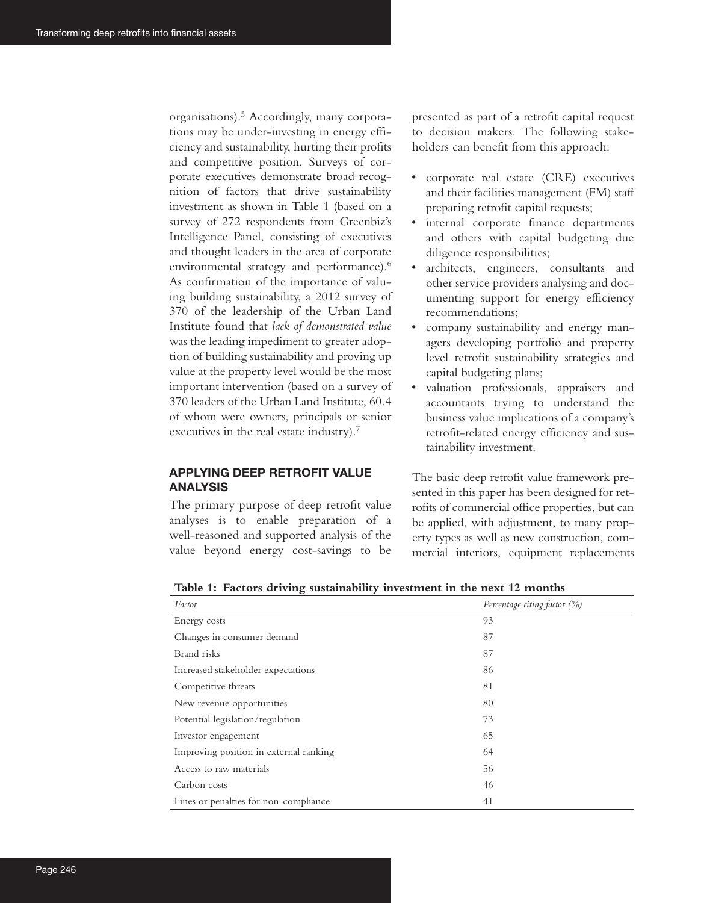organisations).5 Accordingly, many corporations may be under-investing in energy efficiency and sustainability, hurting their profits and competitive position. Surveys of corporate executives demonstrate broad recognition of factors that drive sustainability investment as shown in Table 1 (based on a survey of 272 respondents from Greenbiz's Intelligence Panel, consisting of executives and thought leaders in the area of corporate environmental strategy and performance).<sup>6</sup> As confirmation of the importance of valuing building sustainability, a 2012 survey of 370 of the leadership of the Urban Land Institute found that *lack of demonstrated value* was the leading impediment to greater adoption of building sustainability and proving up value at the property level would be the most important intervention (based on a survey of 370 leaders of the Urban Land Institute, 60.4 of whom were owners, principals or senior executives in the real estate industry).<sup>7</sup>

# **APPLYING DEEP RETROFIT VALUE ANALYSIS**

The primary purpose of deep retrofit value analyses is to enable preparation of a well-reasoned and supported analysis of the value beyond energy cost-savings to be

presented as part of a retrofit capital request to decision makers. The following stakeholders can benefit from this approach:

- corporate real estate (CRE) executives and their facilities management (FM) staff preparing retrofit capital requests;
- internal corporate finance departments and others with capital budgeting due diligence responsibilities;
- architects, engineers, consultants and other service providers analysing and documenting support for energy efficiency recommendations;
- company sustainability and energy managers developing portfolio and property level retrofit sustainability strategies and capital budgeting plans;
- valuation professionals, appraisers and accountants trying to understand the business value implications of a company's retrofit-related energy efficiency and sustainability investment.

The basic deep retrofit value framework presented in this paper has been designed for retrofits of commercial office properties, but can be applied, with adjustment, to many property types as well as new construction, commercial interiors, equipment replacements

| Factor                                 | Percentage citing factor (%) |
|----------------------------------------|------------------------------|
| Energy costs                           | 93                           |
| Changes in consumer demand             | 87                           |
| Brand risks                            | 87                           |
| Increased stakeholder expectations     | 86                           |
| Competitive threats                    | 81                           |
| New revenue opportunities              | 80                           |
| Potential legislation/regulation       | 73                           |
| Investor engagement                    | 65                           |
| Improving position in external ranking | 64                           |
| Access to raw materials                | 56                           |
| Carbon costs                           | 46                           |
| Fines or penalties for non-compliance  | 41                           |

**Table 1: Factors driving sustainability investment in the next 12 months**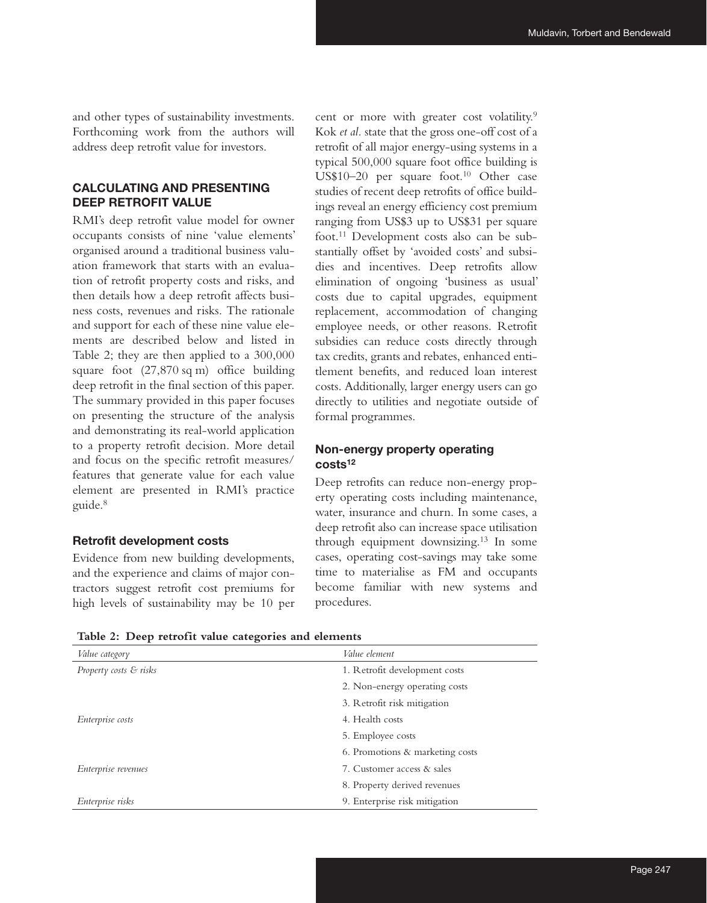and other types of sustainability investments. Forthcoming work from the authors will address deep retrofit value for investors.

# **CALCULATING AND PRESENTING DEEP RETROFIT VALUE**

RMI's deep retrofit value model for owner occupants consists of nine 'value elements' organised around a traditional business valuation framework that starts with an evaluation of retrofit property costs and risks, and then details how a deep retrofit affects business costs, revenues and risks. The rationale and support for each of these nine value elements are described below and listed in Table 2; they are then applied to a 300,000 square foot (27,870 sq m) office building deep retrofit in the final section of this paper. The summary provided in this paper focuses on presenting the structure of the analysis and demonstrating its real-world application to a property retrofit decision. More detail and focus on the specific retrofit measures/ features that generate value for each value element are presented in RMI's practice guide.8

#### **Retrofit development costs**

Evidence from new building developments, and the experience and claims of major contractors suggest retrofit cost premiums for high levels of sustainability may be 10 per

cent or more with greater cost volatility.<sup>9</sup> Kok *et al.* state that the gross one-off cost of a retrofit of all major energy-using systems in a typical 500,000 square foot office building is US\$10–20 per square foot.<sup>10</sup> Other case studies of recent deep retrofits of office buildings reveal an energy efficiency cost premium ranging from US\$3 up to US\$31 per square foot.11 Development costs also can be substantially offset by 'avoided costs' and subsidies and incentives. Deep retrofits allow elimination of ongoing 'business as usual' costs due to capital upgrades, equipment replacement, accommodation of changing employee needs, or other reasons. Retrofit subsidies can reduce costs directly through tax credits, grants and rebates, enhanced entitlement benefits, and reduced loan interest costs. Additionally, larger energy users can go directly to utilities and negotiate outside of formal programmes.

## **Non-energy property operating costs12**

Deep retrofits can reduce non-energy property operating costs including maintenance, water, insurance and churn. In some cases, a deep retrofit also can increase space utilisation through equipment downsizing.13 In some cases, operating cost-savings may take some time to materialise as FM and occupants become familiar with new systems and procedures.

| <i>Value category</i>  | Value element                   |
|------------------------|---------------------------------|
| Property costs & risks | 1. Retrofit development costs   |
|                        | 2. Non-energy operating costs   |
|                        | 3. Retrofit risk mitigation     |
| Enterprise costs       | 4. Health costs                 |
|                        | 5. Employee costs               |
|                        | 6. Promotions & marketing costs |
| Enterprise revenues    | 7. Customer access & sales      |
|                        | 8. Property derived revenues    |
| Enterprise risks       | 9. Enterprise risk mitigation   |

**Table 2: Deep retrofit value categories and elements**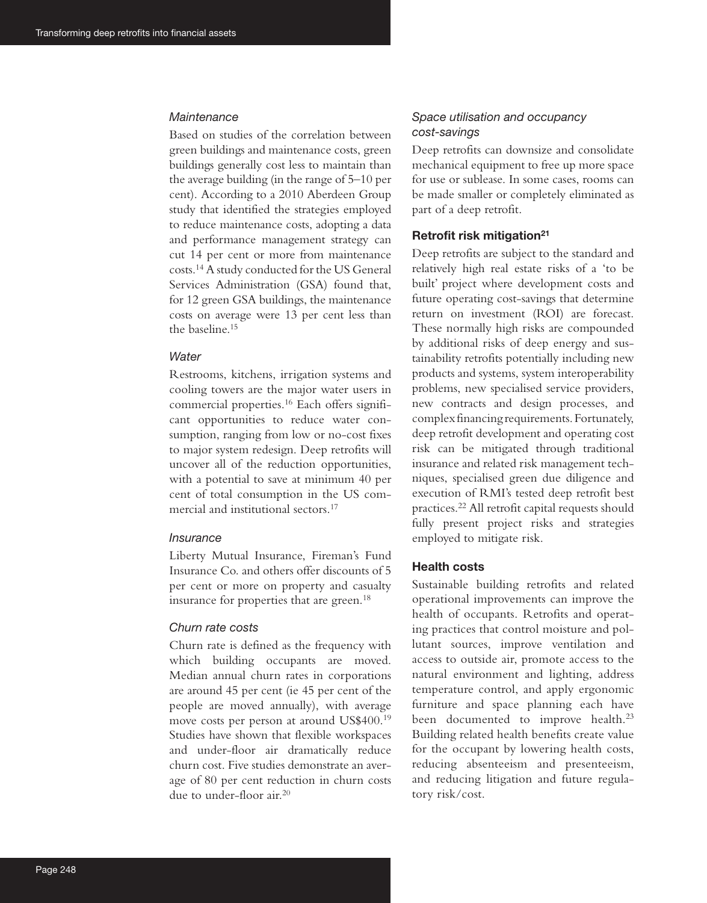#### *Maintenance*

Based on studies of the correlation between green buildings and maintenance costs, green buildings generally cost less to maintain than the average building (in the range of 5–10 per cent). According to a 2010 Aberdeen Group study that identified the strategies employed to reduce maintenance costs, adopting a data and performance management strategy can cut 14 per cent or more from maintenance costs.14 A study conducted for the US General Services Administration (GSA) found that, for 12 green GSA buildings, the maintenance costs on average were 13 per cent less than the baseline.15

### *Water*

Restrooms, kitchens, irrigation systems and cooling towers are the major water users in commercial properties.16 Each offers significant opportunities to reduce water consumption, ranging from low or no-cost fixes to major system redesign. Deep retrofits will uncover all of the reduction opportunities, with a potential to save at minimum 40 per cent of total consumption in the US commercial and institutional sectors.17

#### *Insurance*

Liberty Mutual Insurance, Fireman's Fund Insurance Co. and others offer discounts of 5 per cent or more on property and casualty insurance for properties that are green.<sup>18</sup>

### *Churn rate costs*

Churn rate is defined as the frequency with which building occupants are moved. Median annual churn rates in corporations are around 45 per cent (ie 45 per cent of the people are moved annually), with average move costs per person at around US\$400.19 Studies have shown that flexible workspaces and under-floor air dramatically reduce churn cost. Five studies demonstrate an average of 80 per cent reduction in churn costs due to under-floor air.20

## *Space utilisation and occupancy cost-savings*

Deep retrofits can downsize and consolidate mechanical equipment to free up more space for use or sublease. In some cases, rooms can be made smaller or completely eliminated as part of a deep retrofit.

#### **Retrofit risk mitigation21**

Deep retrofits are subject to the standard and relatively high real estate risks of a 'to be built' project where development costs and future operating cost-savings that determine return on investment (ROI) are forecast. These normally high risks are compounded by additional risks of deep energy and sustainability retrofits potentially including new products and systems, system interoperability problems, new specialised service providers, new contracts and design processes, and complex financing requirements. Fortunately, deep retrofit development and operating cost risk can be mitigated through traditional insurance and related risk management techniques, specialised green due diligence and execution of RMI's tested deep retrofit best practices.22 All retrofit capital requests should fully present project risks and strategies employed to mitigate risk.

## **Health costs**

Sustainable building retrofits and related operational improvements can improve the health of occupants. Retrofits and operating practices that control moisture and pollutant sources, improve ventilation and access to outside air, promote access to the natural environment and lighting, address temperature control, and apply ergonomic furniture and space planning each have been documented to improve health.<sup>23</sup> Building related health benefits create value for the occupant by lowering health costs, reducing absenteeism and presenteeism, and reducing litigation and future regulatory risk/cost.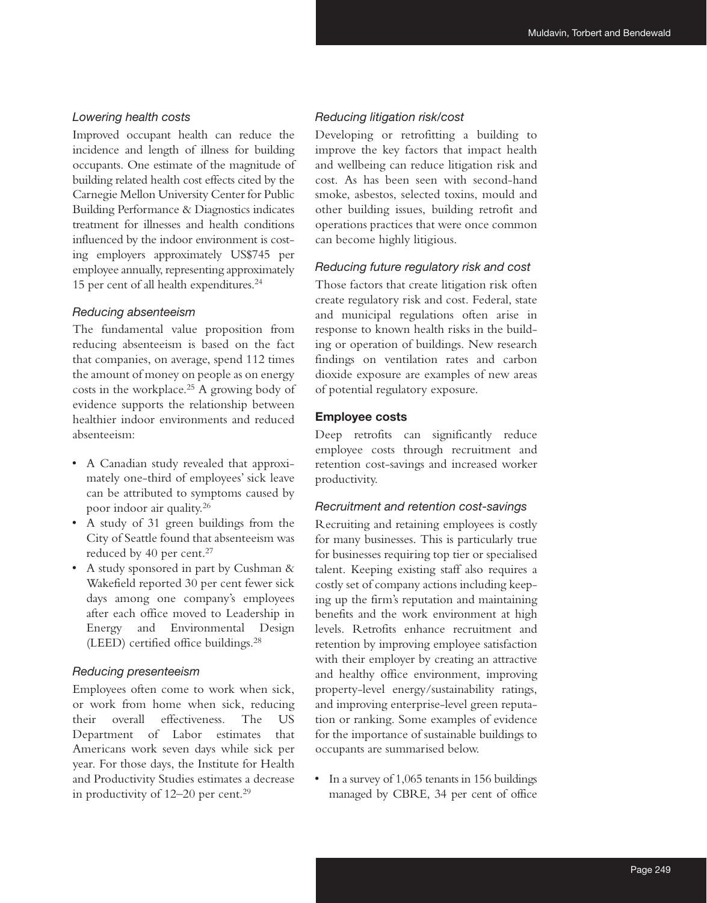### *Lowering health costs*

Improved occupant health can reduce the incidence and length of illness for building occupants. One estimate of the magnitude of building related health cost effects cited by the Carnegie Mellon University Center for Public Building Performance & Diagnostics indicates treatment for illnesses and health conditions influenced by the indoor environment is costing employers approximately US\$745 per employee annually, representing approximately 15 per cent of all health expenditures.24

### *Reducing absenteeism*

The fundamental value proposition from reducing absenteeism is based on the fact that companies, on average, spend 112 times the amount of money on people as on energy costs in the workplace.25 A growing body of evidence supports the relationship between healthier indoor environments and reduced absenteeism:

- A Canadian study revealed that approximately one-third of employees' sick leave can be attributed to symptoms caused by poor indoor air quality.26
- A study of 31 green buildings from the City of Seattle found that absenteeism was reduced by 40 per cent.<sup>27</sup>
- A study sponsored in part by Cushman & Wakefield reported 30 per cent fewer sick days among one company's employees after each office moved to Leadership in Energy and Environmental Design (LEED) certified office buildings.28

### *Reducing presenteeism*

Employees often come to work when sick, or work from home when sick, reducing their overall effectiveness. The US Department of Labor estimates that Americans work seven days while sick per year. For those days, the Institute for Health and Productivity Studies estimates a decrease in productivity of 12–20 per cent.<sup>29</sup>

### *Reducing litigation risk/cost*

Developing or retrofitting a building to improve the key factors that impact health and wellbeing can reduce litigation risk and cost. As has been seen with second-hand smoke, asbestos, selected toxins, mould and other building issues, building retrofit and operations practices that were once common can become highly litigious.

### *Reducing future regulatory risk and cost*

Those factors that create litigation risk often create regulatory risk and cost. Federal, state and municipal regulations often arise in response to known health risks in the building or operation of buildings. New research findings on ventilation rates and carbon dioxide exposure are examples of new areas of potential regulatory exposure.

# **Employee costs**

Deep retrofits can significantly reduce employee costs through recruitment and retention cost-savings and increased worker productivity.

### *Recruitment and retention cost-savings*

Recruiting and retaining employees is costly for many businesses. This is particularly true for businesses requiring top tier or specialised talent. Keeping existing staff also requires a costly set of company actions including keeping up the firm's reputation and maintaining benefits and the work environment at high levels. Retrofits enhance recruitment and retention by improving employee satisfaction with their employer by creating an attractive and healthy office environment, improving property-level energy/sustainability ratings, and improving enterprise-level green reputation or ranking. Some examples of evidence for the importance of sustainable buildings to occupants are summarised below.

• In a survey of 1,065 tenants in 156 buildings managed by CBRE, 34 per cent of office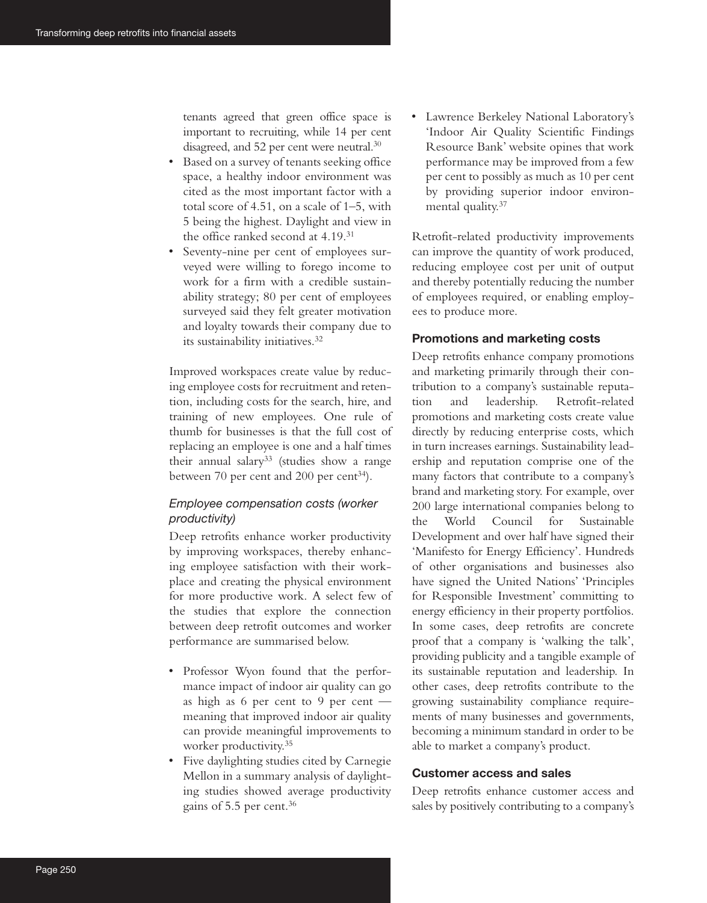tenants agreed that green office space is important to recruiting, while 14 per cent disagreed, and 52 per cent were neutral.<sup>30</sup>

- Based on a survey of tenants seeking office space, a healthy indoor environment was cited as the most important factor with a total score of 4.51, on a scale of 1–5, with 5 being the highest. Daylight and view in the office ranked second at 4.19.31
- Seventy-nine per cent of employees surveyed were willing to forego income to work for a firm with a credible sustainability strategy; 80 per cent of employees surveyed said they felt greater motivation and loyalty towards their company due to its sustainability initiatives.<sup>32</sup>

Improved workspaces create value by reducing employee costs for recruitment and retention, including costs for the search, hire, and training of new employees. One rule of thumb for businesses is that the full cost of replacing an employee is one and a half times their annual salary<sup>33</sup> (studies show a range between 70 per cent and 200 per cent<sup>34</sup>).

# *Employee compensation costs (worker productivity)*

Deep retrofits enhance worker productivity by improving workspaces, thereby enhancing employee satisfaction with their workplace and creating the physical environment for more productive work. A select few of the studies that explore the connection between deep retrofit outcomes and worker performance are summarised below.

- Professor Wyon found that the performance impact of indoor air quality can go as high as 6 per cent to 9 per cent meaning that improved indoor air quality can provide meaningful improvements to worker productivity.35
- Five daylighting studies cited by Carnegie Mellon in a summary analysis of daylighting studies showed average productivity gains of 5.5 per cent.36

• Lawrence Berkeley National Laboratory's 'Indoor Air Quality Scientific Findings Resource Bank' website opines that work performance may be improved from a few per cent to possibly as much as 10 per cent by providing superior indoor environmental quality.37

Retrofit-related productivity improvements can improve the quantity of work produced, reducing employee cost per unit of output and thereby potentially reducing the number of employees required, or enabling employees to produce more.

### **Promotions and marketing costs**

Deep retrofits enhance company promotions and marketing primarily through their contribution to a company's sustainable reputation and leadership. Retrofit-related promotions and marketing costs create value directly by reducing enterprise costs, which in turn increases earnings. Sustainability leadership and reputation comprise one of the many factors that contribute to a company's brand and marketing story. For example, over 200 large international companies belong to the World Council for Sustainable Development and over half have signed their 'Manifesto for Energy Efficiency'. Hundreds of other organisations and businesses also have signed the United Nations' 'Principles for Responsible Investment' committing to energy efficiency in their property portfolios. In some cases, deep retrofits are concrete proof that a company is 'walking the talk', providing publicity and a tangible example of its sustainable reputation and leadership. In other cases, deep retrofits contribute to the growing sustainability compliance requirements of many businesses and governments, becoming a minimum standard in order to be able to market a company's product.

### **Customer access and sales**

Deep retrofits enhance customer access and sales by positively contributing to a company's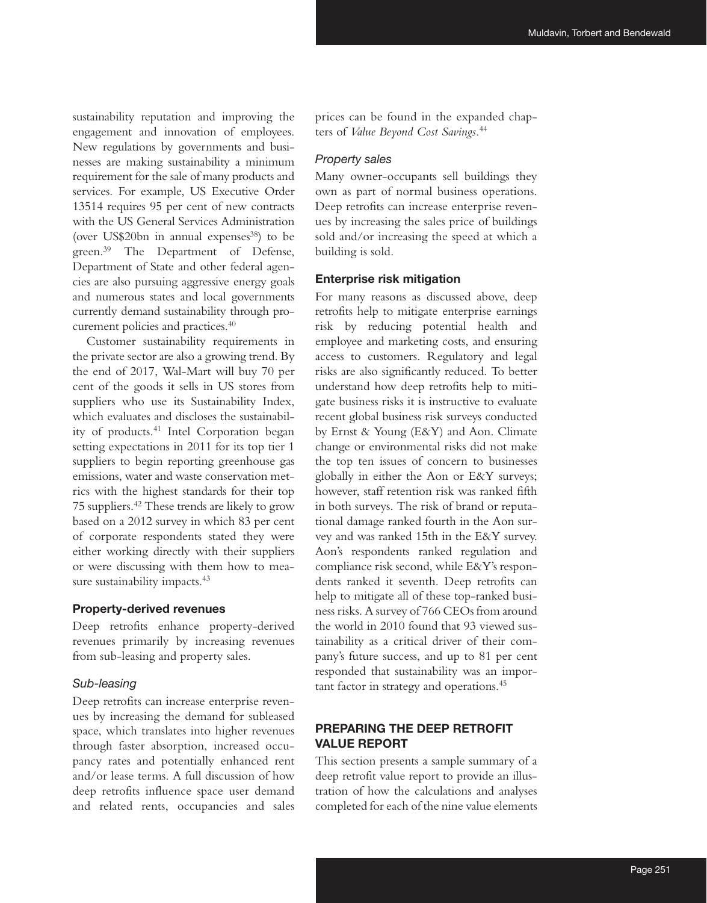sustainability reputation and improving the engagement and innovation of employees. New regulations by governments and businesses are making sustainability a minimum requirement for the sale of many products and services. For example, US Executive Order 13514 requires 95 per cent of new contracts with the US General Services Administration (over US\$20bn in annual expenses<sup>38</sup>) to be green.39 The Department of Defense, Department of State and other federal agencies are also pursuing aggressive energy goals and numerous states and local governments currently demand sustainability through procurement policies and practices.40

Customer sustainability requirements in the private sector are also a growing trend. By the end of 2017, Wal-Mart will buy 70 per cent of the goods it sells in US stores from suppliers who use its Sustainability Index, which evaluates and discloses the sustainability of products.41 Intel Corporation began setting expectations in 2011 for its top tier 1 suppliers to begin reporting greenhouse gas emissions, water and waste conservation metrics with the highest standards for their top 75 suppliers.42 These trends are likely to grow based on a 2012 survey in which 83 per cent of corporate respondents stated they were either working directly with their suppliers or were discussing with them how to measure sustainability impacts.<sup>43</sup>

#### **Property-derived revenues**

Deep retrofits enhance property-derived revenues primarily by increasing revenues from sub-leasing and property sales.

### *Sub-leasing*

Deep retrofits can increase enterprise revenues by increasing the demand for subleased space, which translates into higher revenues through faster absorption, increased occupancy rates and potentially enhanced rent and/or lease terms. A full discussion of how deep retrofits influence space user demand and related rents, occupancies and sales prices can be found in the expanded chapters of *Value Beyond Cost Savings*. 44

#### *Property sales*

Many owner-occupants sell buildings they own as part of normal business operations. Deep retrofits can increase enterprise revenues by increasing the sales price of buildings sold and/or increasing the speed at which a building is sold.

### **Enterprise risk mitigation**

For many reasons as discussed above, deep retrofits help to mitigate enterprise earnings risk by reducing potential health and employee and marketing costs, and ensuring access to customers. Regulatory and legal risks are also significantly reduced. To better understand how deep retrofits help to mitigate business risks it is instructive to evaluate recent global business risk surveys conducted by Ernst & Young (E&Y) and Aon. Climate change or environmental risks did not make the top ten issues of concern to businesses globally in either the Aon or E&Y surveys; however, staff retention risk was ranked fifth in both surveys. The risk of brand or reputational damage ranked fourth in the Aon survey and was ranked 15th in the E&Y survey. Aon's respondents ranked regulation and compliance risk second, while E&Y's respondents ranked it seventh. Deep retrofits can help to mitigate all of these top-ranked business risks. A survey of 766 CEOs from around the world in 2010 found that 93 viewed sustainability as a critical driver of their company's future success, and up to 81 per cent responded that sustainability was an important factor in strategy and operations.45

# **PREPARING THE DEEP RETROFIT VALUE REPORT**

This section presents a sample summary of a deep retrofit value report to provide an illustration of how the calculations and analyses completed for each of the nine value elements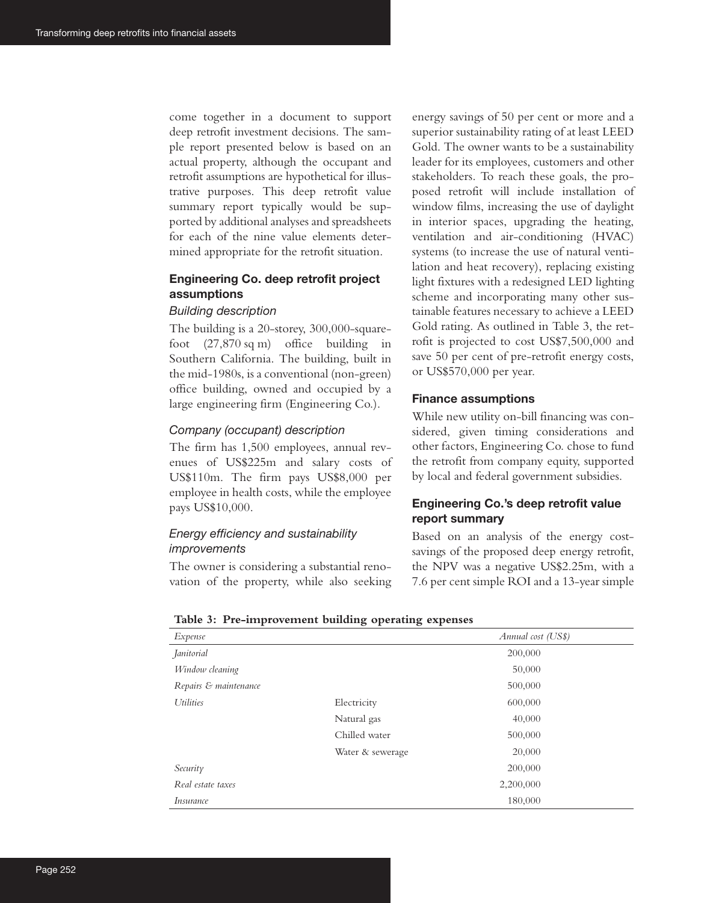come together in a document to support deep retrofit investment decisions. The sample report presented below is based on an actual property, although the occupant and retrofit assumptions are hypothetical for illustrative purposes. This deep retrofit value summary report typically would be supported by additional analyses and spreadsheets for each of the nine value elements determined appropriate for the retrofit situation.

# **Engineering Co. deep retrofit project assumptions**

#### *Building description*

The building is a 20-storey, 300,000-squarefoot (27,870 sq m) office building in Southern California. The building, built in the mid-1980s, is a conventional (non-green) office building, owned and occupied by a large engineering firm (Engineering Co.).

### *Company (occupant) description*

The firm has 1,500 employees, annual revenues of US\$225m and salary costs of US\$110m. The firm pays US\$8,000 per employee in health costs, while the employee pays US\$10,000.

# *Energy efficiency and sustainability improvements*

The owner is considering a substantial renovation of the property, while also seeking energy savings of 50 per cent or more and a superior sustainability rating of at least LEED Gold. The owner wants to be a sustainability leader for its employees, customers and other stakeholders. To reach these goals, the proposed retrofit will include installation of window films, increasing the use of daylight in interior spaces, upgrading the heating, ventilation and air-conditioning (HVAC) systems (to increase the use of natural ventilation and heat recovery), replacing existing light fixtures with a redesigned LED lighting scheme and incorporating many other sustainable features necessary to achieve a LEED Gold rating. As outlined in Table 3, the retrofit is projected to cost US\$7,500,000 and save 50 per cent of pre-retrofit energy costs, or US\$570,000 per year.

### **Finance assumptions**

While new utility on-bill financing was considered, given timing considerations and other factors, Engineering Co. chose to fund the retrofit from company equity, supported by local and federal government subsidies.

# **Engineering Co.'s deep retrofit value report summary**

Based on an analysis of the energy costsavings of the proposed deep energy retrofit, the NPV was a negative US\$2.25m, with a 7.6 per cent simple ROI and a 13-year simple

| Expense               |                  | Annual cost (US\$) |
|-----------------------|------------------|--------------------|
| Janitorial            |                  | 200,000            |
| Window cleaning       |                  | 50,000             |
| Repairs & maintenance |                  | 500,000            |
| <i>Utilities</i>      | Electricity      | 600,000            |
|                       | Natural gas      | 40,000             |
|                       | Chilled water    | 500,000            |
|                       | Water & sewerage | 20,000             |
| Security              |                  | 200,000            |
| Real estate taxes     |                  | 2,200,000          |
| <i>Insurance</i>      |                  | 180,000            |

| Table 3: Pre-improvement building operating expenses |  |  |
|------------------------------------------------------|--|--|
|                                                      |  |  |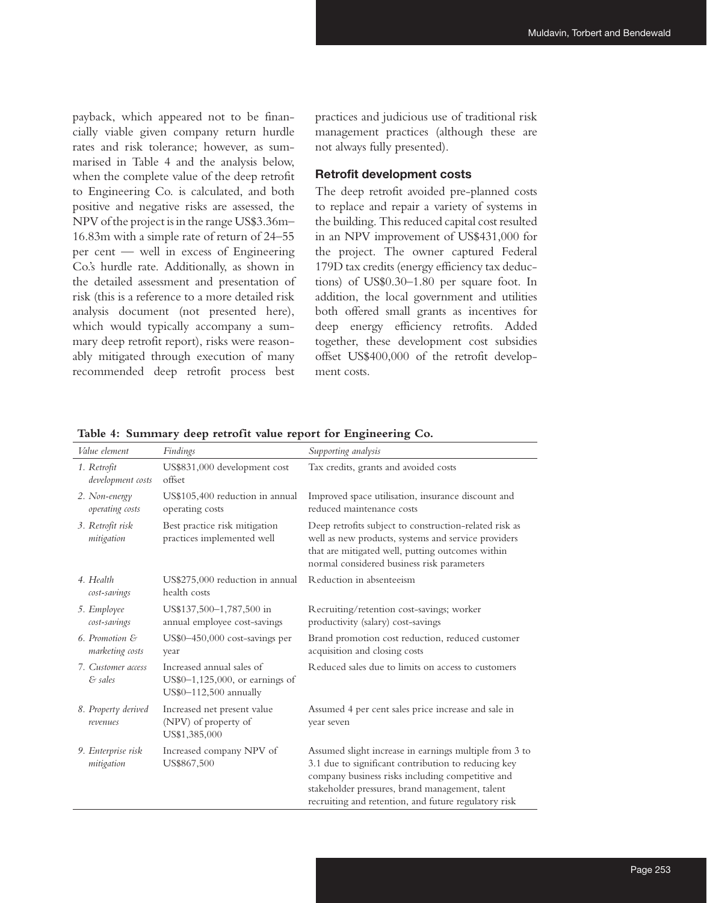payback, which appeared not to be financially viable given company return hurdle rates and risk tolerance; however, as summarised in Table 4 and the analysis below, when the complete value of the deep retrofit to Engineering Co. is calculated, and both positive and negative risks are assessed, the NPV of the project is in the range US\$3.36m– 16.83m with a simple rate of return of 24–55 per cent — well in excess of Engineering Co.'s hurdle rate. Additionally, as shown in the detailed assessment and presentation of risk (this is a reference to a more detailed risk analysis document (not presented here), which would typically accompany a summary deep retrofit report), risks were reasonably mitigated through execution of many recommended deep retrofit process best

practices and judicious use of traditional risk management practices (although these are not always fully presented).

#### **Retrofit development costs**

The deep retrofit avoided pre-planned costs to replace and repair a variety of systems in the building. This reduced capital cost resulted in an NPV improvement of US\$431,000 for the project. The owner captured Federal 179D tax credits (energy efficiency tax deductions) of US\$0.30–1.80 per square foot. In addition, the local government and utilities both offered small grants as incentives for deep energy efficiency retrofits. Added together, these development cost subsidies offset US\$400,000 of the retrofit development costs.

| Value element                     | Findings                                                                                 | Supporting analysis                                                                                                                                                                                                                                                          |
|-----------------------------------|------------------------------------------------------------------------------------------|------------------------------------------------------------------------------------------------------------------------------------------------------------------------------------------------------------------------------------------------------------------------------|
| 1. Retrofit<br>development costs  | US\$831,000 development cost<br>offset                                                   | Tax credits, grants and avoided costs                                                                                                                                                                                                                                        |
| 2. Non-energy<br>operating costs  | US\$105,400 reduction in annual<br>operating costs                                       | Improved space utilisation, insurance discount and<br>reduced maintenance costs                                                                                                                                                                                              |
| 3. Retrofit risk<br>mitigation    | Best practice risk mitigation<br>practices implemented well                              | Deep retrofits subject to construction-related risk as<br>well as new products, systems and service providers<br>that are mitigated well, putting outcomes within<br>normal considered business risk parameters                                                              |
| 4. Health<br>cost-savings         | US\$275,000 reduction in annual<br>health costs                                          | Reduction in absenteeism                                                                                                                                                                                                                                                     |
| 5. Employee<br>cost-savings       | US\$137,500-1,787,500 in<br>annual employee cost-savings                                 | Recruiting/retention cost-savings; worker<br>productivity (salary) cost-savings                                                                                                                                                                                              |
| 6. Promotion &<br>marketing costs | US\$0-450,000 cost-savings per<br>year                                                   | Brand promotion cost reduction, reduced customer<br>acquisition and closing costs                                                                                                                                                                                            |
| 7. Customer access<br>& sales     | Increased annual sales of<br>$US$0-1,125,000$ , or earnings of<br>US\$0-112,500 annually | Reduced sales due to limits on access to customers                                                                                                                                                                                                                           |
| 8. Property derived<br>revenues   | Increased net present value<br>(NPV) of property of<br>US\$1,385,000                     | Assumed 4 per cent sales price increase and sale in<br>year seven                                                                                                                                                                                                            |
| 9. Enterprise risk<br>mitigation  | Increased company NPV of<br>US\$867,500                                                  | Assumed slight increase in earnings multiple from 3 to<br>3.1 due to significant contribution to reducing key<br>company business risks including competitive and<br>stakeholder pressures, brand management, talent<br>recruiting and retention, and future regulatory risk |

**Table 4: Summary deep retrofit value report for Engineering Co.**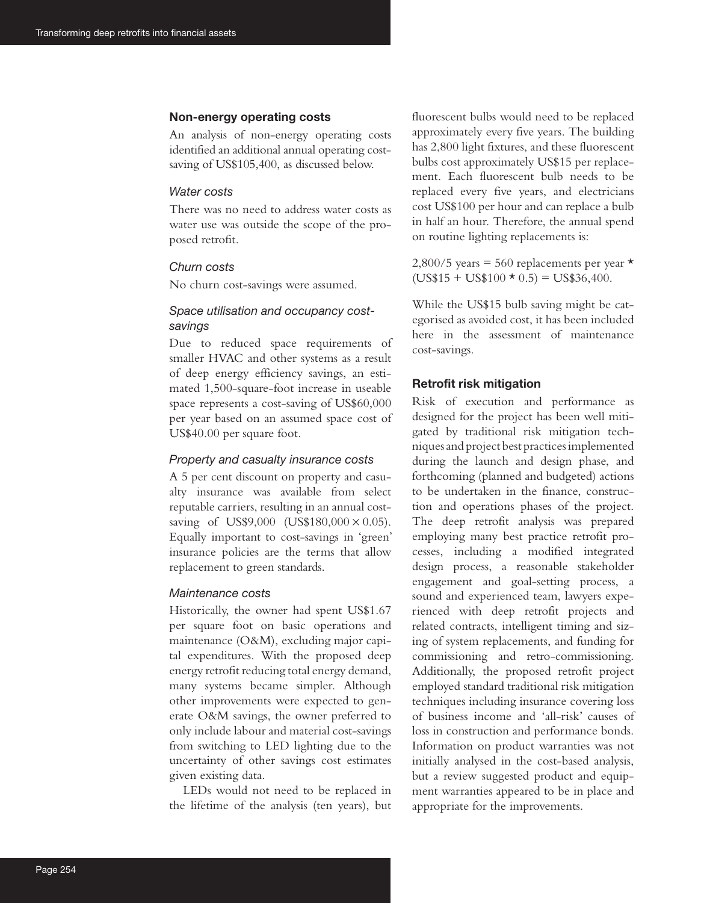#### **Non-energy operating costs**

An analysis of non-energy operating costs identified an additional annual operating costsaving of US\$105,400, as discussed below.

### *Water costs*

There was no need to address water costs as water use was outside the scope of the proposed retrofit.

#### *Churn costs*

No churn cost-savings were assumed.

# *Space utilisation and occupancy costsavings*

Due to reduced space requirements of smaller HVAC and other systems as a result of deep energy efficiency savings, an estimated 1,500-square-foot increase in useable space represents a cost-saving of US\$60,000 per year based on an assumed space cost of US\$40.00 per square foot.

### *Property and casualty insurance costs*

A 5 per cent discount on property and casualty insurance was available from select reputable carriers, resulting in an annual costsaving of US\$9,000 (US\$180,000 × 0.05). Equally important to cost-savings in 'green' insurance policies are the terms that allow replacement to green standards.

### *Maintenance costs*

Historically, the owner had spent US\$1.67 per square foot on basic operations and maintenance (O&M), excluding major capital expenditures. With the proposed deep energy retrofit reducing total energy demand, many systems became simpler. Although other improvements were expected to generate O&M savings, the owner preferred to only include labour and material cost-savings from switching to LED lighting due to the uncertainty of other savings cost estimates given existing data.

LEDs would not need to be replaced in the lifetime of the analysis (ten years), but

fluorescent bulbs would need to be replaced approximately every five years. The building has 2,800 light fixtures, and these fluorescent bulbs cost approximately US\$15 per replacement. Each fluorescent bulb needs to be replaced every five years, and electricians cost US\$100 per hour and can replace a bulb in half an hour. Therefore, the annual spend on routine lighting replacements is:

2,800/5 years = 560 replacements per year  $\star$  $(US$15 + US$100 \star 0.5) = US$36,400.$ 

While the US\$15 bulb saving might be categorised as avoided cost, it has been included here in the assessment of maintenance cost-savings.

## **Retrofit risk mitigation**

Risk of execution and performance as designed for the project has been well mitigated by traditional risk mitigation techniques and project best practices implemented during the launch and design phase, and forthcoming (planned and budgeted) actions to be undertaken in the finance, construction and operations phases of the project. The deep retrofit analysis was prepared employing many best practice retrofit processes, including a modified integrated design process, a reasonable stakeholder engagement and goal-setting process, a sound and experienced team, lawyers experienced with deep retrofit projects and related contracts, intelligent timing and sizing of system replacements, and funding for commissioning and retro-commissioning. Additionally, the proposed retrofit project employed standard traditional risk mitigation techniques including insurance covering loss of business income and 'all-risk' causes of loss in construction and performance bonds. Information on product warranties was not initially analysed in the cost-based analysis, but a review suggested product and equipment warranties appeared to be in place and appropriate for the improvements.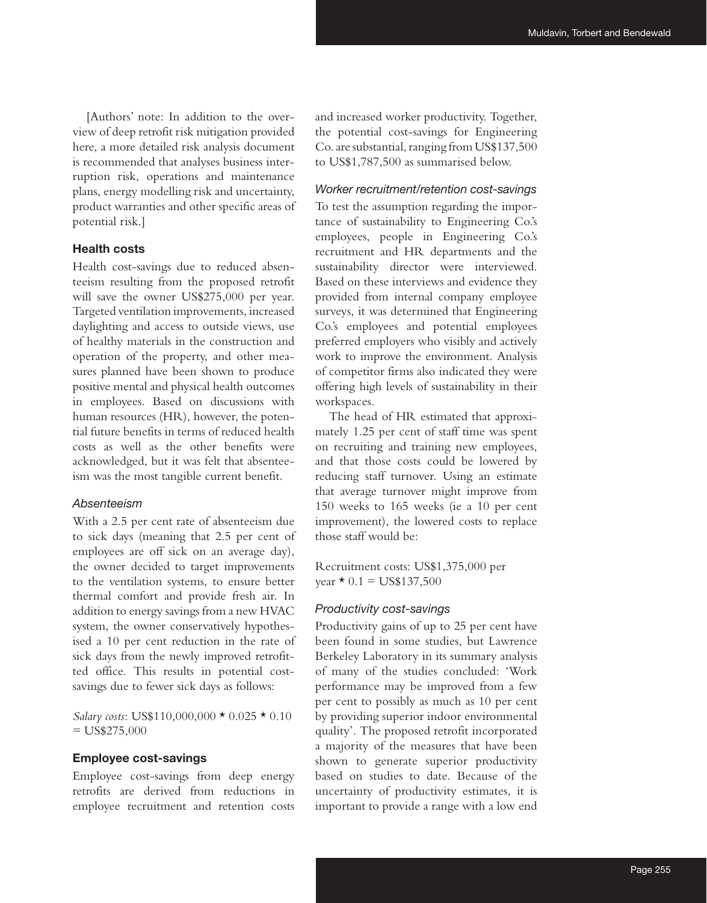[Authors' note: In addition to the overview of deep retrofit risk mitigation provided here, a more detailed risk analysis document is recommended that analyses business interruption risk, operations and maintenance plans, energy modelling risk and uncertainty, product warranties and other specific areas of potential risk.]

#### **Health costs**

Health cost-savings due to reduced absenteeism resulting from the proposed retrofit will save the owner US\$275,000 per year. Targeted ventilation improvements, increased daylighting and access to outside views, use of healthy materials in the construction and operation of the property, and other measures planned have been shown to produce positive mental and physical health outcomes in employees. Based on discussions with human resources (HR), however, the potential future benefits in terms of reduced health costs as well as the other benefits were acknowledged, but it was felt that absenteeism was the most tangible current benefit.

### *Absenteeism*

With a 2.5 per cent rate of absenteeism due to sick days (meaning that 2.5 per cent of employees are off sick on an average day), the owner decided to target improvements to the ventilation systems, to ensure better thermal comfort and provide fresh air. In addition to energy savings from a new HVAC system, the owner conservatively hypothesised a 10 per cent reduction in the rate of sick days from the newly improved retrofitted office. This results in potential costsavings due to fewer sick days as follows:

*Salary costs*: US\$110,000,000 \* 0.025 \* 0.10  $=$  US\$275,000

### **Employee cost-savings**

Employee cost-savings from deep energy retrofits are derived from reductions in employee recruitment and retention costs and increased worker productivity. Together, the potential cost-savings for Engineering Co. are substantial, ranging from US\$137,500 to US\$1,787,500 as summarised below.

### *Worker recruitment/retention cost-savings*

To test the assumption regarding the importance of sustainability to Engineering Co.'s employees, people in Engineering Co.'s recruitment and HR departments and the sustainability director were interviewed. Based on these interviews and evidence they provided from internal company employee surveys, it was determined that Engineering Co.'s employees and potential employees preferred employers who visibly and actively work to improve the environment. Analysis of competitor firms also indicated they were offering high levels of sustainability in their workspaces.

The head of HR estimated that approximately 1.25 per cent of staff time was spent on recruiting and training new employees, and that those costs could be lowered by reducing staff turnover. Using an estimate that average turnover might improve from 150 weeks to 165 weeks (ie a 10 per cent improvement), the lowered costs to replace those staff would be:

Recruitment costs: US\$1,375,000 per year  $\star$  0.1 = US\$137,500

#### *Productivity cost-savings*

Productivity gains of up to 25 per cent have been found in some studies, but Lawrence Berkeley Laboratory in its summary analysis of many of the studies concluded: 'Work performance may be improved from a few per cent to possibly as much as 10 per cent by providing superior indoor environmental quality'. The proposed retrofit incorporated a majority of the measures that have been shown to generate superior productivity based on studies to date. Because of the uncertainty of productivity estimates, it is important to provide a range with a low end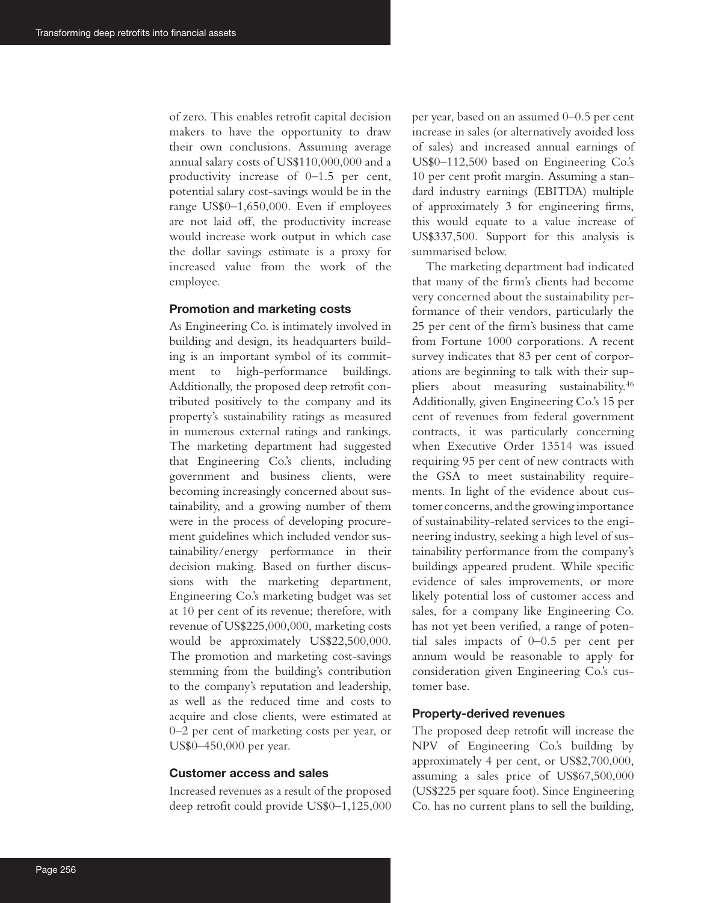of zero. This enables retrofit capital decision makers to have the opportunity to draw their own conclusions. Assuming average annual salary costs of US\$110,000,000 and a productivity increase of 0–1.5 per cent, potential salary cost-savings would be in the range US\$0–1,650,000. Even if employees are not laid off, the productivity increase would increase work output in which case the dollar savings estimate is a proxy for increased value from the work of the employee.

### **Promotion and marketing costs**

As Engineering Co. is intimately involved in building and design, its headquarters building is an important symbol of its commitment to high-performance buildings. Additionally, the proposed deep retrofit contributed positively to the company and its property's sustainability ratings as measured in numerous external ratings and rankings. The marketing department had suggested that Engineering Co.'s clients, including government and business clients, were becoming increasingly concerned about sustainability, and a growing number of them were in the process of developing procurement guidelines which included vendor sustainability/energy performance in their decision making. Based on further discussions with the marketing department, Engineering Co.'s marketing budget was set at 10 per cent of its revenue; therefore, with revenue of US\$225,000,000, marketing costs would be approximately US\$22,500,000. The promotion and marketing cost-savings stemming from the building's contribution to the company's reputation and leadership, as well as the reduced time and costs to acquire and close clients, were estimated at 0–2 per cent of marketing costs per year, or US\$0–450,000 per year.

#### **Customer access and sales**

Increased revenues as a result of the proposed deep retrofit could provide US\$0–1,125,000 per year, based on an assumed 0–0.5 per cent increase in sales (or alternatively avoided loss of sales) and increased annual earnings of US\$0–112,500 based on Engineering Co.'s 10 per cent profit margin. Assuming a standard industry earnings (EBITDA) multiple of approximately 3 for engineering firms, this would equate to a value increase of US\$337,500. Support for this analysis is summarised below.

The marketing department had indicated that many of the firm's clients had become very concerned about the sustainability performance of their vendors, particularly the 25 per cent of the firm's business that came from Fortune 1000 corporations. A recent survey indicates that 83 per cent of corporations are beginning to talk with their suppliers about measuring sustainability.46 Additionally, given Engineering Co.'s 15 per cent of revenues from federal government contracts, it was particularly concerning when Executive Order 13514 was issued requiring 95 per cent of new contracts with the GSA to meet sustainability requirements. In light of the evidence about customer concerns, and the growing importance of sustainability-related services to the engineering industry, seeking a high level of sustainability performance from the company's buildings appeared prudent. While specific evidence of sales improvements, or more likely potential loss of customer access and sales, for a company like Engineering Co. has not yet been verified, a range of potential sales impacts of 0–0.5 per cent per annum would be reasonable to apply for consideration given Engineering Co.'s customer base.

### **Property-derived revenues**

The proposed deep retrofit will increase the NPV of Engineering Co.'s building by approximately 4 per cent, or US\$2,700,000, assuming a sales price of US\$67,500,000 (US\$225 per square foot). Since Engineering Co. has no current plans to sell the building,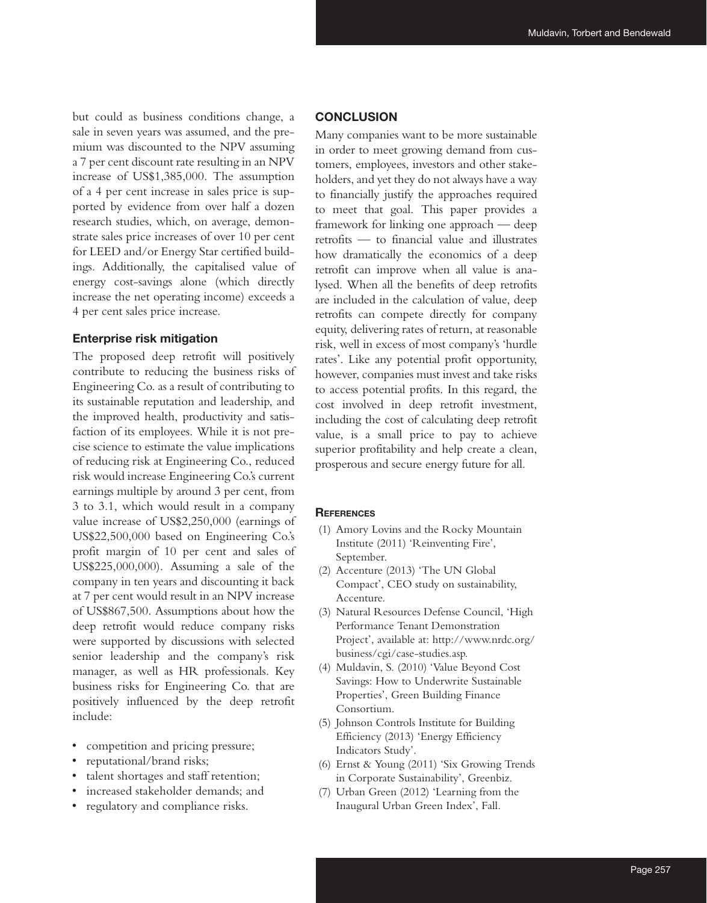but could as business conditions change, a sale in seven years was assumed, and the premium was discounted to the NPV assuming a 7 per cent discount rate resulting in an NPV increase of US\$1,385,000. The assumption of a 4 per cent increase in sales price is supported by evidence from over half a dozen research studies, which, on average, demonstrate sales price increases of over 10 per cent for LEED and/or Energy Star certified buildings. Additionally, the capitalised value of energy cost-savings alone (which directly increase the net operating income) exceeds a 4 per cent sales price increase.

#### **Enterprise risk mitigation**

The proposed deep retrofit will positively contribute to reducing the business risks of Engineering Co. as a result of contributing to its sustainable reputation and leadership, and the improved health, productivity and satisfaction of its employees. While it is not precise science to estimate the value implications of reducing risk at Engineering Co., reduced risk would increase Engineering Co.'s current earnings multiple by around 3 per cent, from 3 to 3.1, which would result in a company value increase of US\$2,250,000 (earnings of US\$22,500,000 based on Engineering Co.'s profit margin of 10 per cent and sales of US\$225,000,000). Assuming a sale of the company in ten years and discounting it back at 7 per cent would result in an NPV increase of US\$867,500. Assumptions about how the deep retrofit would reduce company risks were supported by discussions with selected senior leadership and the company's risk manager, as well as HR professionals. Key business risks for Engineering Co. that are positively influenced by the deep retrofit include:

- competition and pricing pressure;
- reputational/brand risks;
- talent shortages and staff retention;
- increased stakeholder demands; and
- regulatory and compliance risks.

### **CONCLUSION**

Many companies want to be more sustainable in order to meet growing demand from customers, employees, investors and other stakeholders, and yet they do not always have a way to financially justify the approaches required to meet that goal. This paper provides a framework for linking one approach — deep retrofits — to financial value and illustrates how dramatically the economics of a deep retrofit can improve when all value is analysed. When all the benefits of deep retrofits are included in the calculation of value, deep retrofits can compete directly for company equity, delivering rates of return, at reasonable risk, well in excess of most company's 'hurdle rates'. Like any potential profit opportunity, however, companies must invest and take risks to access potential profits. In this regard, the cost involved in deep retrofit investment, including the cost of calculating deep retrofit value, is a small price to pay to achieve superior profitability and help create a clean, prosperous and secure energy future for all.

### **REFERENCES**

- (1) Amory Lovins and the Rocky Mountain Institute (2011) 'Reinventing Fire', September.
- (2) Accenture (2013) 'The UN Global Compact', CEO study on sustainability, Accenture.
- (3) Natural Resources Defense Council, 'High Performance Tenant Demonstration Project', available at: http://www.nrdc.org/ business/cgi/case-studies.asp.
- (4) Muldavin, S. (2010) 'Value Beyond Cost Savings: How to Underwrite Sustainable Properties', Green Building Finance Consortium.
- (5) Johnson Controls Institute for Building Efficiency (2013) 'Energy Efficiency Indicators Study'.
- (6) Ernst & Young (2011) 'Six Growing Trends in Corporate Sustainability', Greenbiz.
- (7) Urban Green (2012) 'Learning from the Inaugural Urban Green Index', Fall.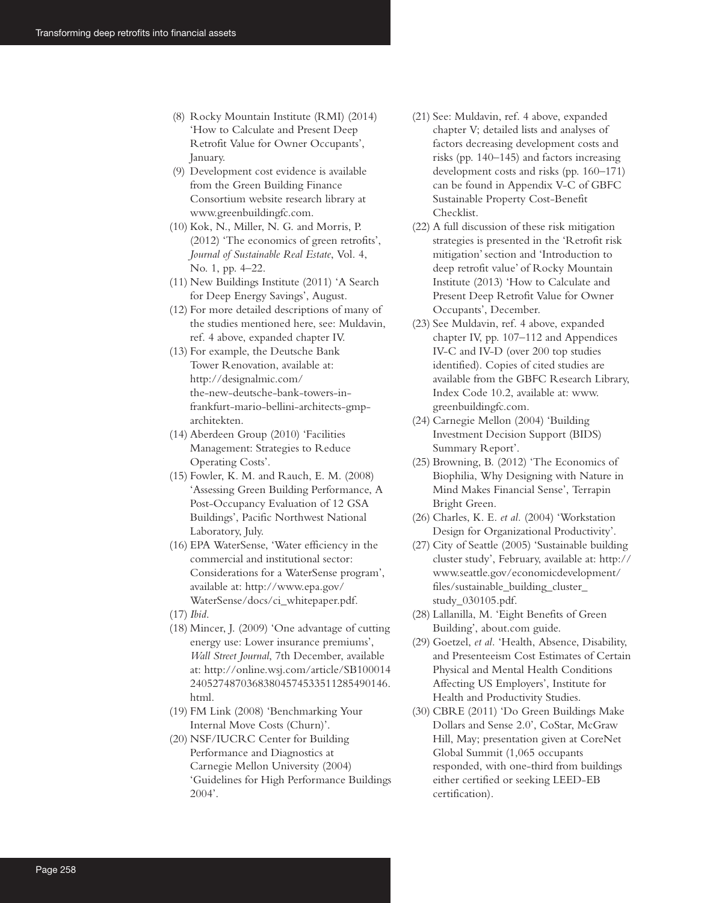- (8) Rocky Mountain Institute (RMI) (2014) 'How to Calculate and Present Deep Retrofit Value for Owner Occupants', January.
- (9) Development cost evidence is available from the Green Building Finance Consortium website research library at www.greenbuildingfc.com.
- (10) Kok, N., Miller, N. G. and Morris, P. (2012) 'The economics of green retrofits', *Journal of Sustainable Real Estate*, Vol. 4, No. 1, pp. 4–22.
- (11) New Buildings Institute (2011) 'A Search for Deep Energy Savings', August.
- (12) For more detailed descriptions of many of the studies mentioned here, see: Muldavin, ref. 4 above, expanded chapter IV.
- (13) For example, the Deutsche Bank Tower Renovation, available at: http://designalmic.com/ the-new-deutsche-bank-towers-infrankfurt-mario-bellini-architects-gmparchitekten.
- (14) Aberdeen Group (2010) 'Facilities Management: Strategies to Reduce Operating Costs'.
- (15) Fowler, K. M. and Rauch, E. M. (2008) 'Assessing Green Building Performance, A Post-Occupancy Evaluation of 12 GSA Buildings', Pacific Northwest National Laboratory, July.
- (16) EPA WaterSense, 'Water efficiency in the commercial and institutional sector: Considerations for a WaterSense program', available at: http://www.epa.gov/ WaterSense/docs/ci\_whitepaper.pdf.
- (17) *Ibid*.
- (18) Mincer, J. (2009) 'One advantage of cutting energy use: Lower insurance premiums', *Wall Street Journal*, 7th December, available at: http://online.wsj.com/article/SB100014 24052748703683804574533511285490146. html.
- (19) FM Link (2008) 'Benchmarking Your Internal Move Costs (Churn)'.
- (20) NSF/IUCRC Center for Building Performance and Diagnostics at Carnegie Mellon University (2004) 'Guidelines for High Performance Buildings 2004'.
- (21) See: Muldavin, ref. 4 above, expanded chapter V; detailed lists and analyses of factors decreasing development costs and risks (pp. 140–145) and factors increasing development costs and risks (pp. 160–171) can be found in Appendix V-C of GBFC Sustainable Property Cost-Benefit Checklist.
- (22) A full discussion of these risk mitigation strategies is presented in the 'Retrofit risk mitigation' section and 'Introduction to deep retrofit value' of Rocky Mountain Institute (2013) 'How to Calculate and Present Deep Retrofit Value for Owner Occupants', December.
- (23) See Muldavin, ref. 4 above, expanded chapter IV, pp. 107–112 and Appendices IV-C and IV-D (over 200 top studies identified). Copies of cited studies are available from the GBFC Research Library, Index Code 10.2, available at: www. greenbuildingfc.com.
- (24) Carnegie Mellon (2004) 'Building Investment Decision Support (BIDS) Summary Report'.
- (25) Browning, B. (2012) 'The Economics of Biophilia, Why Designing with Nature in Mind Makes Financial Sense', Terrapin Bright Green.
- (26) Charles, K. E. *et al.* (2004) 'Workstation Design for Organizational Productivity'.
- (27) City of Seattle (2005) 'Sustainable building cluster study', February, available at: http:// www.seattle.gov/economicdevelopment/ files/sustainable\_building\_cluster\_ study\_030105.pdf.
- (28) Lallanilla, M. 'Eight Benefits of Green Building', about.com guide.
- (29) Goetzel, *et al.* 'Health, Absence, Disability, and Presenteeism Cost Estimates of Certain Physical and Mental Health Conditions Affecting US Employers', Institute for Health and Productivity Studies.
- (30) CBRE (2011) 'Do Green Buildings Make Dollars and Sense 2.0', CoStar, McGraw Hill, May; presentation given at CoreNet Global Summit (1,065 occupants responded, with one-third from buildings either certified or seeking LEED-EB certification).